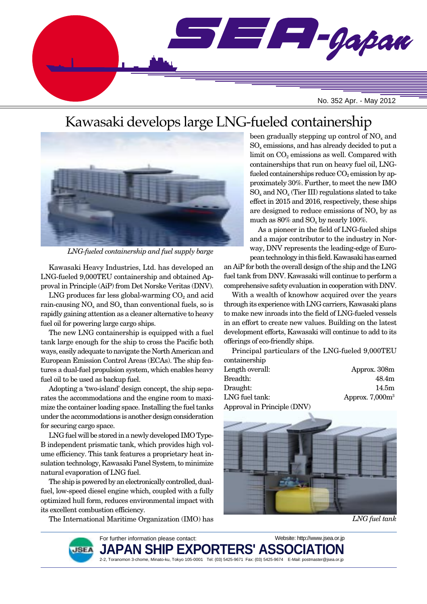

# Kawasaki develops large LNG-fueled containership



*LNG-fueled containership and fuel supply barge*

Kawasaki Heavy Industries, Ltd. has developed an LNG-fueled 9,000TEU containership and obtained Approval in Principle (AiP) from Det Norske Veritas (DNV).

LNG produces far less global-warming  $CO<sub>2</sub>$  and acid rain-causing  $NO<sub>x</sub>$  and  $SO<sub>x</sub>$  than conventional fuels, so is rapidly gaining attention as a cleaner alternative to heavy fuel oil for powering large cargo ships.

The new LNG containership is equipped with a fuel tank large enough for the ship to cross the Pacific both ways, easily adequate to navigate the North American and European Emission Control Areas (ECAs). The ship features a dual-fuel propulsion system, which enables heavy fuel oil to be used as backup fuel.

Adopting a 'two-island' design concept, the ship separates the accommodations and the engine room to maximize the container loading space. Installing the fuel tanks under the accommodations is another design consideration for securing cargo space.

LNG fuel will be stored in a newly developed IMO Type-B independent prismatic tank, which provides high volume efficiency. This tank features a proprietary heat insulation technology, Kawasaki Panel System, to minimize natural evaporation of LNG fuel.

The ship is powered by an electronically controlled, dualfuel, low-speed diesel engine which, coupled with a fully optimized hull form, reduces environmental impact with its excellent combustion efficiency.

The International Maritime Organization (IMO) has

been gradually stepping up control of  $NO<sub>x</sub>$  and  $SO<sub>x</sub>$  emissions, and has already decided to put a limit on  $CO<sub>2</sub>$  emissions as well. Compared with containerships that run on heavy fuel oil, LNGfueled containerships reduce  $CO<sub>2</sub>$  emission by approximately 30%. Further, to meet the new IMO  $SO<sub>x</sub>$  and  $NO<sub>x</sub>$  (Tier III) regulations slated to take effect in 2015 and 2016, respectively, these ships are designed to reduce emissions of  $NO<sub>x</sub>$  by as much as  $80\%$  and  $SO_x$  by nearly 100%.

As a pioneer in the field of LNG-fueled ships and a major contributor to the industry in Norway, DNV represents the leading-edge of European technology in this field. Kawasaki has earned

an AiP for both the overall design of the ship and the LNG fuel tank from DNV. Kawasaki will continue to perform a comprehensive safety evaluation in cooperation with DNV.

With a wealth of knowhow acquired over the years through its experience with LNG carriers, Kawasaki plans to make new inroads into the field of LNG-fueled vessels in an effort to create new values. Building on the latest development efforts, Kawasaki will continue to add to its offerings of eco-friendly ships.

Principal particulars of the LNG-fueled 9,000TEU containership

| Length overall:             | Approx. 308m       |
|-----------------------------|--------------------|
| Breadth:                    | 48.4m              |
| Draught:                    | 14.5m              |
| LNG fuel tank:              | Approx. $7,000m^3$ |
| Approval in Principle (DNV) |                    |



*LNG fuel tank*

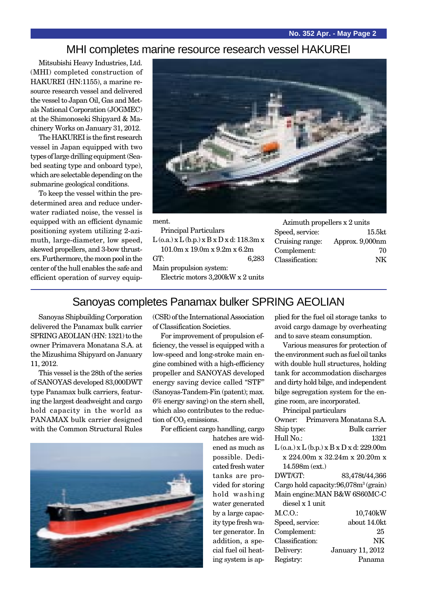#### MHI completes marine resource research vessel HAKUREI

Mitsubishi Heavy Industries, Ltd. (MHI) completed construction of HAKUREI (HN:1155), a marine resource research vessel and delivered the vessel to Japan Oil, Gas and Metals National Corporation (JOGMEC) at the Shimonoseki Shipyard & Machinery Works on January 31, 2012.

The HAKUREI is the first research vessel in Japan equipped with two types of large drilling equipment (Seabed seating type and onboard type), which are selectable depending on the submarine geological conditions.

To keep the vessel within the predetermined area and reduce underwater radiated noise, the vessel is equipped with an efficient dynamic positioning system utilizing 2-azimuth, large-diameter, low speed, skewed propellers, and 3-bow thrusters. Furthermore, the moon pool in the center of the hull enables the safe and efficient operation of survey equip-



ment.

Principal Particulars  $L$  (o.a.)  $x L$  (b.p.)  $x B x D x d$ : 118.3m  $x$ 101.0m x 19.0m x 9.2m x 6.2m GT: 6,283 Main propulsion system: Electric motors 3,200kW x 2 units

| Azimuth propellers x 2 units |                    |
|------------------------------|--------------------|
| Speed, service:              | 15.5 <sub>kt</sub> |
| Cruising range:              | Approx. 9,000nm    |
| Complement:                  | 70                 |
| Classification:              | NK                 |
|                              |                    |

### Sanoyas completes Panamax bulker SPRING AEOLIAN

Sanoyas Shipbuilding Corporation delivered the Panamax bulk carrier SPRING AEOLIAN (HN: 1321) to the owner Primavera Monatana S.A. at the Mizushima Shipyard on January 11, 2012.

This vessel is the 28th of the series of SANOYAS developed 83,000DWT type Panamax bulk carriers, featuring the largest deadweight and cargo hold capacity in the world as PANAMAX bulk carrier designed with the Common Structural Rules (CSR) of the International Association of Classification Societies.

For improvement of propulsion efficiency, the vessel is equipped with a low-speed and long-stroke main engine combined with a high-efficiency propeller and SANOYAS developed energy saving device called "STF" (Sanoyas-Tandem-Fin (patent); max. 6% energy saving) on the stern shell, which also contributes to the reduction of  $CO<sub>2</sub>$  emissions.

For efficient cargo handling, cargo

hatches are widened as much as possible. Dedicated fresh water tanks are provided for storing hold washing water generated by a large capacity type fresh water generator. In addition, a special fuel oil heating system is applied for the fuel oil storage tanks to avoid cargo damage by overheating and to save steam consumption.

Various measures for protection of the environment such as fuel oil tanks with double hull structures, holding tank for accommodation discharges and dirty hold bilge, and independent bilge segregation system for the engine room, are incorporated.

Principal particulars

|                  | Owner: Primavera Monatana S.A.                    |
|------------------|---------------------------------------------------|
| Ship type:       | Bulk carrier                                      |
| Hull No.:        | 1321                                              |
|                  | $L$ (o.a.) x $L$ (b.p.) x $B$ x $D$ x d: 229.00m  |
|                  | x 224.00m x 32.24m x 20.20m x                     |
| $14.598m$ (ext.) |                                                   |
| DWT/GT:          | 83,478t/44,366                                    |
|                  | Cargo hold capacity: 96,078m <sup>3</sup> (grain) |
|                  | Main engine: MAN B&W 6S60MC-C                     |
| diesel x 1 unit  |                                                   |
| M.C.O.           | 10,740kW                                          |
| Speed, service:  | about 14.0kt                                      |
| Complement:      | 25                                                |
| Classification:  | NK                                                |
| Delivery:        | January 11, 2012                                  |
| Registry:        | Panama                                            |

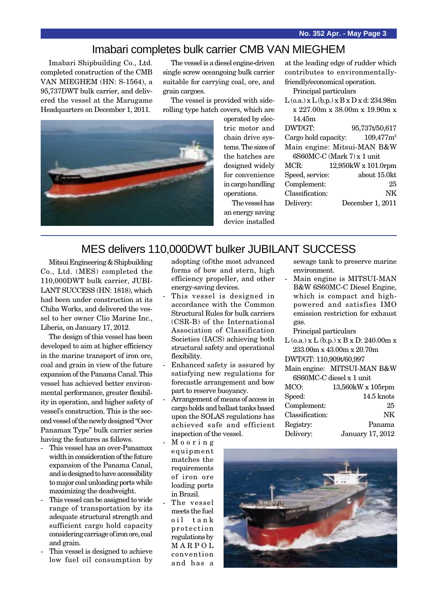### Imabari completes bulk carrier CMB VAN MIEGHEM

Imabari Shipbuilding Co., Ltd. completed construction of the CMB VAN MIEGHEM (HN: S-1564), a 95,737DWT bulk carrier, and delivered the vessel at the Marugame Headquarters on December 1, 2011.

The vessel is a diesel engine-driven single screw oceangoing bulk carrier suitable for carrying coal, ore, and grain cargoes.

The vessel is provided with siderolling type hatch covers, which are



operated by electric motor and chain drive systems. The sizes of the hatches are designed widely for convenience in cargo handling operations.

The vessel has

at the leading edge of rudder which contributes to environmentallyfriendly/economical operation.

Principal particulars

| $L$ (o.a.) x $L$ (b.p.) x $B$ x $D$ x d: 234.98m |                     |  |
|--------------------------------------------------|---------------------|--|
| x 227.00m x 38.00m x 19.90m x                    |                     |  |
| 14.45m                                           |                     |  |
| DWT/GT:                                          | 95,737t/50,617      |  |
| Cargo hold capacity:                             | $109,477m^3$        |  |
| Main engine: Mitsui-MAN B&W                      |                     |  |
| 6S60MC-C (Mark 7) x 1 unit                       |                     |  |
| MCR:                                             | 12,950kW x 101.0rpm |  |
| Speed, service:                                  | about 15.0kt        |  |
| Complement:                                      | 25                  |  |
| Classification:                                  | NK                  |  |
| Delivery:                                        | December 1, 2011    |  |

an energy saving device installed

### MES delivers 110,000DWT bulker JUBILANT SUCCESS

Mitsui Engineering & Shipbuilding Co., Ltd. (MES) completed the 110,000DWT bulk carrier, JUBI-LANT SUCCESS (HN: 1818), which had been under construction at its Chiba Works, and delivered the vessel to her owner Clio Marine Inc., Liberia, on January 17, 2012.

The design of this vessel has been developed to aim at higher efficiency in the marine transport of iron ore, coal and grain in view of the future expansion of the Panama Canal. This vessel has achieved better environmental performance, greater flexibility in operation, and higher safety of vessel's construction. This is the second vessel of the newly designed "Over Panamax Type" bulk carrier series having the features as follows.

- This vessel has an over-Panamax width in consideration of the future expansion of the Panama Canal, and is designed to have accessibility to major coal unloading ports while maximizing the deadweight.
- This vessel can be assigned to wide range of transportation by its adequate structural strength and sufficient cargo hold capacity considering carriage of iron ore, coal and grain.
- This vessel is designed to achieve low fuel oil consumption by
- adopting (of)the most advanced forms of bow and stern, high efficiency propeller, and other energy-saving devices.
- This vessel is designed in accordance with the Common Structural Rules for bulk carriers (CSR-B) of the International Association of Classification Societies (IACS) achieving both structural safety and operational flexibility.
- Enhanced safety is assured by satisfying new regulations for forecastle arrangement and bow part to reserve buoyancy.
- Arrangement of means of access in cargo holds and ballast tanks based upon the SOLAS regulations has achieved safe and efficient inspection of the vessel.
- Mooring equipment matches the requirements of iron ore loading ports in Brazil.
- The vessel meets the fuel oil tank protection regulations by MARPOL convention and has a
- sewage tank to preserve marine environment.
- Main engine is MITSUI-MAN B&W 6S60MC-C Diesel Engine, which is compact and highpowered and satisfies IMO emission restriction for exhaust gas.

Principal particulars

L (o.a.) x L (b.p.) x B x D: 240.00m x 233.00m x 43.00m x 20.70m

DWT/GT: 110,909t/60,997

Main engine: MITSUI-MAN B&W 6S60MC-C diesel x 1 unit

| 13,560kW x 105rpm |
|-------------------|
| 14.5 knots        |
| 25                |
| NK                |
| Panama            |
| January 17, 2012  |
|                   |

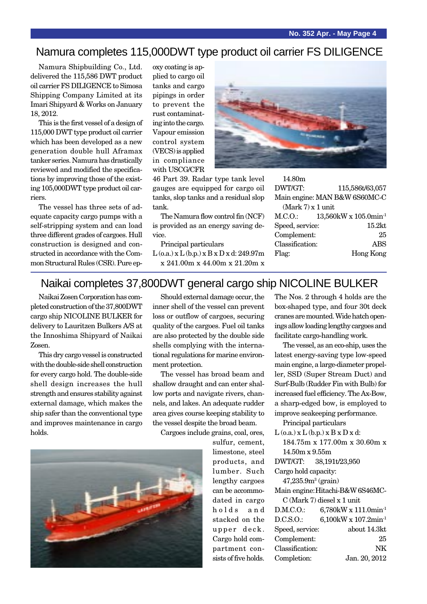### Namura completes 115,000DWT type product oil carrier FS DILIGENCE

Namura Shipbuilding Co., Ltd. delivered the 115,586 DWT product oil carrier FS DILIGENCE to Simosa Shipping Company Limited at its Imari Shipyard & Works on January 18, 2012.

This is the first vessel of a design of 115,000 DWT type product oil carrier which has been developed as a new generation double hull Aframax tanker series. Namura has drastically reviewed and modified the specifications by improving those of the existing 105,000DWT type product oil carriers.

The vessel has three sets of adequate capacity cargo pumps with a self-stripping system and can load three different grades of cargoes. Hull construction is designed and constructed in accordance with the Common Structural Rules (CSR). Pure epoxy coating is applied to cargo oil tanks and cargo pipings in order to prevent the rust contaminating into the cargo. Vapour emission control system (VECS) is applied in compliance with USCG/CFR

46 Part 39. Radar type tank level gauges are equipped for cargo oil tanks, slop tanks and a residual slop tank.

The Namura flow control fin (NCF) is provided as an energy saving device.

Principal particulars  $L$  (o.a.) x  $L$  (b.p.) x  $B$  x  $D$  x d: 249.97m



| 14.80m              |                                   |
|---------------------|-----------------------------------|
| DWT/GT:             | 115,586t/63,057                   |
|                     | Main engine: MAN B&W 6S60MC-C     |
| $(Mark 7)$ x 1 unit |                                   |
| M.C.O.:             | 13,560kW x 105.0min <sup>-1</sup> |
| Speed, service:     | 15.2kt                            |
| Complement:         | 25                                |

Classification: ABS

| $\mathsf{N}$                         |                                                  |       |           |
|--------------------------------------|--------------------------------------------------|-------|-----------|
| non Structural Rules (CSR). Pure ep- | $x\ 241.00m\ x\ 44.00m\ x\ 21.20m\ x$            |       |           |
| tructed in accordance with the Com-  | $L$ (o.a.) x $L$ (b.p.) x $B$ x $D$ x d: 249.97m | Flag: | Hong Kong |

## Naikai completes 37,800DWT general cargo ship NICOLINE BULKER

Naikai Zosen Corporation has completed construction of the 37,800DWT cargo ship NICOLINE BULKER for delivery to Lauritzen Bulkers A/S at the Innoshima Shipyard of Naikai Zosen.

This dry cargo vessel is constructed with the double-side shell construction for every cargo hold. The double-side shell design increases the hull strength and ensures stability against external damage, which makes the ship safer than the conventional type and improves maintenance in cargo holds.

Should external damage occur, the inner shell of the vessel can prevent loss or outflow of cargoes, securing quality of the cargoes. Fuel oil tanks are also protected by the double side shells complying with the international regulations for marine environment protection.

The vessel has broad beam and shallow draught and can enter shallow ports and navigate rivers, channels, and lakes. An adequate rudder area gives course keeping stability to the vessel despite the broad beam.

Cargoes include grains, coal, ores,

sulfur, cement, limestone, steel products, and lumber. Such lengthy cargoes can be accommodated in cargo holds and stacked on the upper deck. Cargo hold compartment consists of five holds.

The Nos. 2 through 4 holds are the box-shaped type, and four 30t deck cranes are mounted. Wide hatch openings allow loading lengthy cargoes and facilitate cargo-handling work.

The vessel, as an eco-ship, uses the latest energy-saving type low-speed main engine, a large-diameter propeller, SSD (Super Stream Duct) and Surf-Bulb (Rudder Fin with Bulb) for increased fuel efficiency. The Ax-Bow, a sharp-edged bow, is employed to improve seakeeping performance.

Principal particulars

- $L$  (o.a.)  $x L$  (b.p.)  $x B x D x d$ : 184.75m x 177.00m x 30.60m x 14.50m x 9.55m
- 
- DWT/GT: 38,191t/23,950

Cargo hold capacity:

- $47,\!235.9\mathrm{m}^3\,(\mathrm{grain})$
- Main engine:Hitachi-B&W 6S46MC-C (Mark 7) diesel x 1 unit

| D.M.C.O.        | 6,780kW x 111.0min <sup>-1</sup> |
|-----------------|----------------------------------|
| D.C.S.O.        | 6,100kW x 107.2min <sup>-1</sup> |
| Speed, service: | about 14.3kt                     |
| Complement:     | 25                               |
| Classification: | NK                               |
| Completion:     | Jan. 20, 2012                    |

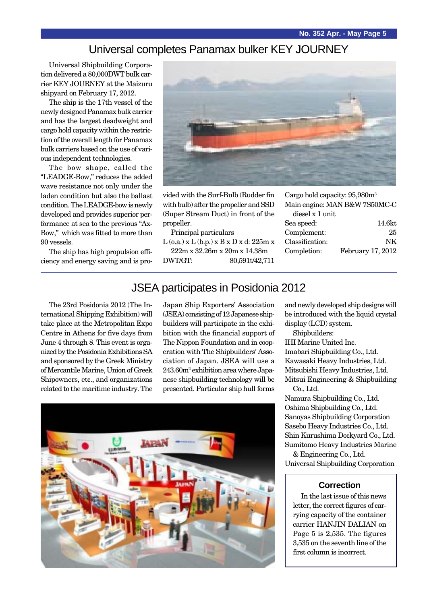### Universal completes Panamax bulker KEY JOURNEY

Universal Shipbuilding Corporation delivered a 80,000DWT bulk carrier KEY JOURNEY at the Maizuru shipyard on February 17, 2012.

The ship is the 17th vessel of the newly designed Panamax bulk carrier and has the largest deadweight and cargo hold capacity within the restriction of the overall length for Panamax bulk carriers based on the use of various independent technologies.

The bow shape, called the "LEADGE-Bow," reduces the added wave resistance not only under the laden condition but also the ballast condition. The LEADGE-bow is newly developed and provides superior performance at sea to the previous "Ax-Bow," which was fitted to more than 90 vessels.

The ship has high propulsion efficiency and energy saving and is pro-



vided with the Surf-Bulb (Rudder fin with bulb) after the propeller and SSD (Super Stream Duct) in front of the propeller.

Principal particulars

 $L$  (o.a.) x  $L$  (b.p.) x  $B$  x  $D$  x d: 225m x

222m x 32.26m x 20m x 14.38m DWT/GT: 80,591t/42,711

| Cargo hold capacity: $95,980m^3$ |        |
|----------------------------------|--------|
| Main engine: MAN B&W 7S50MC-C    |        |
| diesel x 1 unit                  |        |
| Sea speed:                       | 14.6kt |

| 14.0KU            |
|-------------------|
| 25                |
| NK                |
| February 17, 2012 |
|                   |

### JSEA participates in Posidonia 2012

The 23rd Posidonia 2012 (The International Shipping Exhibition) will take place at the Metropolitan Expo Centre in Athens for five days from June 4 through 8. This event is organized by the Posidonia Exhibitions SA and sponsored by the Greek Ministry of Mercantile Marine, Union of Greek Shipowners, etc., and organizations related to the maritime industry. The Japan Ship Exporters' Association (JSEA) consisting of 12 Japanese shipbuilders will participate in the exhibition with the financial support of The Nippon Foundation and in cooperation with The Shipbuilders' Association of Japan. JSEA will use a 243.60m2 exhibition area where Japanese shipbuilding technology will be presented. Particular ship hull forms



and newly developed ship designs will be introduced with the liquid crystal display (LCD) system.

Shipbuilders: IHI Marine United Inc. Imabari Shipbuilding Co., Ltd. Kawasaki Heavy Industries, Ltd. Mitsubishi Heavy Industries, Ltd. Mitsui Engineering & Shipbuilding Co., Ltd.

Namura Shipbuilding Co., Ltd. Oshima Shipbuilding Co., Ltd. Sanoyas Shipbuilding Corporation Sasebo Heavy Industries Co., Ltd. Shin Kurushima Dockyard Co., Ltd. Sumitomo Heavy Industries Marine & Engineering Co., Ltd.

Universal Shipbuilding Corporation

#### **Correction**

In the last issue of this news letter, the correct figures of carrying capacity of the container carrier HANJIN DALIAN on Page 5 is 2,535. The figures 3,535 on the seventh line of the first column is incorrect.